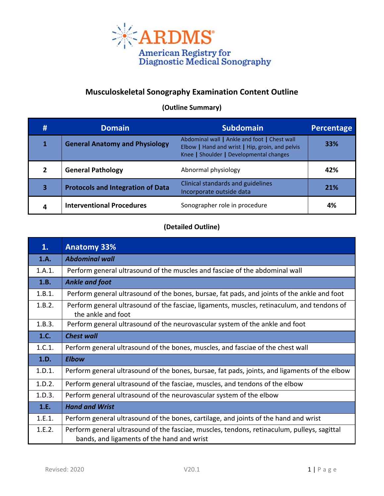

## **Musculoskeletal Sonography Examination Content Outline**

**(Outline Summary)**

| #             | <b>Domain</b>                            | <b>Subdomain</b>                                                                                                                           | Percentage |
|---------------|------------------------------------------|--------------------------------------------------------------------------------------------------------------------------------------------|------------|
|               | <b>General Anatomy and Physiology</b>    | Abdominal wall   Ankle and foot   Chest wall<br>Elbow   Hand and wrist   Hip, groin, and pelvis<br>Knee   Shoulder   Developmental changes | 33%        |
| $\mathfrak z$ | <b>General Pathology</b>                 | Abnormal physiology                                                                                                                        | 42%        |
| 3             | <b>Protocols and Integration of Data</b> | Clinical standards and guidelines<br>Incorporate outside data                                                                              | 21%        |
| 4             | <b>Interventional Procedures</b>         | Sonographer role in procedure                                                                                                              | 4%         |

## **(Detailed Outline)**

| 1.     | <b>Anatomy 33%</b>                                                                                                                        |  |
|--------|-------------------------------------------------------------------------------------------------------------------------------------------|--|
| 1.A.   | <b>Abdominal wall</b>                                                                                                                     |  |
| 1.A.1. | Perform general ultrasound of the muscles and fasciae of the abdominal wall                                                               |  |
| 1.B.   | <b>Ankle and foot</b>                                                                                                                     |  |
| 1.B.1. | Perform general ultrasound of the bones, bursae, fat pads, and joints of the ankle and foot                                               |  |
| 1.B.2. | Perform general ultrasound of the fasciae, ligaments, muscles, retinaculum, and tendons of<br>the ankle and foot                          |  |
| 1.B.3. | Perform general ultrasound of the neurovascular system of the ankle and foot                                                              |  |
| 1.C.   | <b>Chest wall</b>                                                                                                                         |  |
| 1.C.1. | Perform general ultrasound of the bones, muscles, and fasciae of the chest wall                                                           |  |
| 1.D.   | <b>Elbow</b>                                                                                                                              |  |
| 1.D.1. | Perform general ultrasound of the bones, bursae, fat pads, joints, and ligaments of the elbow                                             |  |
| 1.D.2. | Perform general ultrasound of the fasciae, muscles, and tendons of the elbow                                                              |  |
| 1.D.3. | Perform general ultrasound of the neurovascular system of the elbow                                                                       |  |
| 1.E.   | <b>Hand and Wrist</b>                                                                                                                     |  |
| 1.E.1. | Perform general ultrasound of the bones, cartilage, and joints of the hand and wrist                                                      |  |
| 1.E.2. | Perform general ultrasound of the fasciae, muscles, tendons, retinaculum, pulleys, sagittal<br>bands, and ligaments of the hand and wrist |  |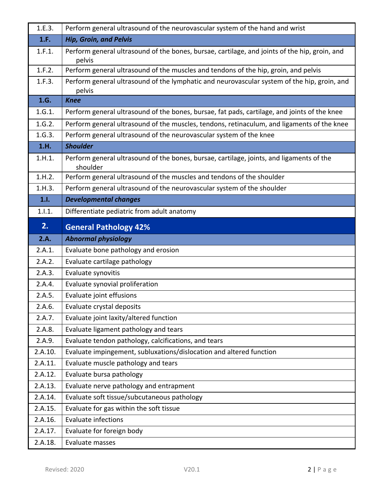| 1.E.3.             | Perform general ultrasound of the neurovascular system of the hand and wrist                            |  |  |
|--------------------|---------------------------------------------------------------------------------------------------------|--|--|
| 1.F.               | <b>Hip, Groin, and Pelvis</b>                                                                           |  |  |
| 1.F.1.             | Perform general ultrasound of the bones, bursae, cartilage, and joints of the hip, groin, and<br>pelvis |  |  |
| 1.F.2.             | Perform general ultrasound of the muscles and tendons of the hip, groin, and pelvis                     |  |  |
| 1.F.3.             | Perform general ultrasound of the lymphatic and neurovascular system of the hip, groin, and<br>pelvis   |  |  |
| 1.G.               | <b>Knee</b>                                                                                             |  |  |
| 1.G.1.             | Perform general ultrasound of the bones, bursae, fat pads, cartilage, and joints of the knee            |  |  |
| 1.G.2.             | Perform general ultrasound of the muscles, tendons, retinaculum, and ligaments of the knee              |  |  |
| 1.G.3.             | Perform general ultrasound of the neurovascular system of the knee                                      |  |  |
| 1.H.               | <b>Shoulder</b>                                                                                         |  |  |
| 1.H.1.             | Perform general ultrasound of the bones, bursae, cartilage, joints, and ligaments of the<br>shoulder    |  |  |
| 1.H.2.             | Perform general ultrasound of the muscles and tendons of the shoulder                                   |  |  |
| 1.H.3.             | Perform general ultrasound of the neurovascular system of the shoulder                                  |  |  |
| 1.1.               | <b>Developmental changes</b>                                                                            |  |  |
| 1.1.1.             | Differentiate pediatric from adult anatomy                                                              |  |  |
| 2.                 | <b>General Pathology 42%</b>                                                                            |  |  |
| 2.A.               | <b>Abnormal physiology</b>                                                                              |  |  |
| 2.A.1.             | Evaluate bone pathology and erosion                                                                     |  |  |
| 2.A.2.             | Evaluate cartilage pathology                                                                            |  |  |
| 2.A.3.             | Evaluate synovitis                                                                                      |  |  |
| 2.A.4.             | Evaluate synovial proliferation                                                                         |  |  |
| 2.A.5.             | Evaluate joint effusions                                                                                |  |  |
| 2.A.6.             | Evaluate crystal deposits                                                                               |  |  |
| 2.A.7.             | Evaluate joint laxity/altered function                                                                  |  |  |
| 2.A.8.             | Evaluate ligament pathology and tears                                                                   |  |  |
| 2.A.9.             | Evaluate tendon pathology, calcifications, and tears                                                    |  |  |
| 2.A.10.            | Evaluate impingement, subluxations/dislocation and altered function                                     |  |  |
| 2.A.11.            | Evaluate muscle pathology and tears                                                                     |  |  |
| 2.A.12.            | Evaluate bursa pathology                                                                                |  |  |
| 2.A.13.            | Evaluate nerve pathology and entrapment                                                                 |  |  |
| 2.A.14.            | Evaluate soft tissue/subcutaneous pathology                                                             |  |  |
|                    |                                                                                                         |  |  |
| 2.A.15.            | Evaluate for gas within the soft tissue                                                                 |  |  |
| 2.A.16.            | <b>Evaluate infections</b>                                                                              |  |  |
| 2.A.17.<br>2.A.18. | Evaluate for foreign body<br>Evaluate masses                                                            |  |  |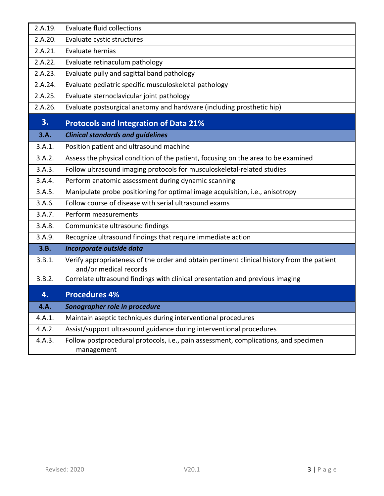| 2.A.19. | <b>Evaluate fluid collections</b>                                                                                    |  |  |
|---------|----------------------------------------------------------------------------------------------------------------------|--|--|
| 2.A.20. | Evaluate cystic structures                                                                                           |  |  |
| 2.A.21. | Evaluate hernias                                                                                                     |  |  |
| 2.A.22. | Evaluate retinaculum pathology                                                                                       |  |  |
| 2.A.23. | Evaluate pully and sagittal band pathology                                                                           |  |  |
| 2.A.24. | Evaluate pediatric specific musculoskeletal pathology                                                                |  |  |
| 2.A.25. | Evaluate sternoclavicular joint pathology                                                                            |  |  |
| 2.A.26. | Evaluate postsurgical anatomy and hardware (including prosthetic hip)                                                |  |  |
| 3.      | <b>Protocols and Integration of Data 21%</b>                                                                         |  |  |
| 3.A.    | <b>Clinical standards and guidelines</b>                                                                             |  |  |
| 3.A.1.  | Position patient and ultrasound machine                                                                              |  |  |
| 3.A.2.  | Assess the physical condition of the patient, focusing on the area to be examined                                    |  |  |
| 3.A.3.  | Follow ultrasound imaging protocols for musculoskeletal-related studies                                              |  |  |
| 3.A.4.  | Perform anatomic assessment during dynamic scanning                                                                  |  |  |
| 3.A.5.  | Manipulate probe positioning for optimal image acquisition, i.e., anisotropy                                         |  |  |
| 3.A.6.  | Follow course of disease with serial ultrasound exams                                                                |  |  |
| 3.A.7.  | Perform measurements                                                                                                 |  |  |
| 3.A.8.  | Communicate ultrasound findings                                                                                      |  |  |
| 3.A.9.  | Recognize ultrasound findings that require immediate action                                                          |  |  |
| 3.B.    | Incorporate outside data                                                                                             |  |  |
| 3.B.1.  | Verify appropriateness of the order and obtain pertinent clinical history from the patient<br>and/or medical records |  |  |
| 3.B.2.  | Correlate ultrasound findings with clinical presentation and previous imaging                                        |  |  |
| 4.      | <b>Procedures 4%</b>                                                                                                 |  |  |
| 4.A.    | Sonographer role in procedure                                                                                        |  |  |
| 4.A.1.  | Maintain aseptic techniques during interventional procedures                                                         |  |  |
| 4.A.2.  | Assist/support ultrasound guidance during interventional procedures                                                  |  |  |
| 4.A.3.  | Follow postprocedural protocols, i.e., pain assessment, complications, and specimen<br>management                    |  |  |